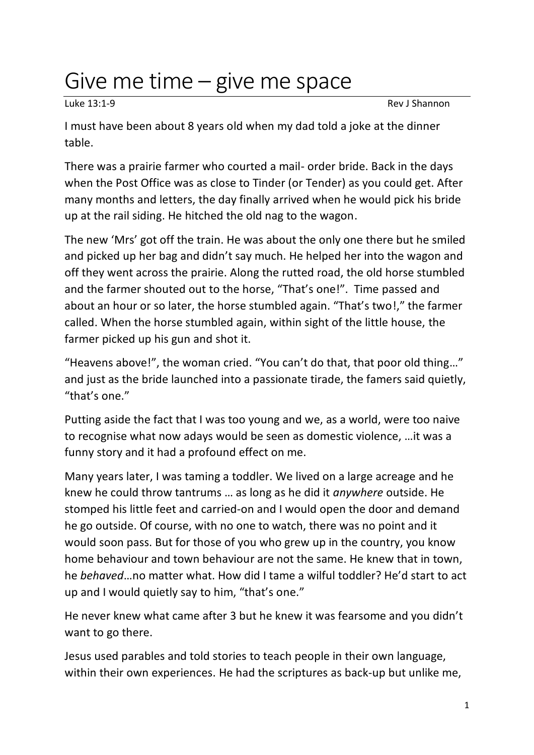## Give me time – give me space

Luke 13:1-9 Rev J Shannon

I must have been about 8 years old when my dad told a joke at the dinner table.

There was a prairie farmer who courted a mail- order bride. Back in the days when the Post Office was as close to Tinder (or Tender) as you could get. After many months and letters, the day finally arrived when he would pick his bride up at the rail siding. He hitched the old nag to the wagon.

The new 'Mrs' got off the train. He was about the only one there but he smiled and picked up her bag and didn't say much. He helped her into the wagon and off they went across the prairie. Along the rutted road, the old horse stumbled and the farmer shouted out to the horse, "That's one!". Time passed and about an hour or so later, the horse stumbled again. "That's two!," the farmer called. When the horse stumbled again, within sight of the little house, the farmer picked up his gun and shot it.

"Heavens above!", the woman cried. "You can't do that, that poor old thing…" and just as the bride launched into a passionate tirade, the famers said quietly, "that's one."

Putting aside the fact that I was too young and we, as a world, were too naive to recognise what now adays would be seen as domestic violence, …it was a funny story and it had a profound effect on me.

Many years later, I was taming a toddler. We lived on a large acreage and he knew he could throw tantrums … as long as he did it *anywhere* outside. He stomped his little feet and carried-on and I would open the door and demand he go outside. Of course, with no one to watch, there was no point and it would soon pass. But for those of you who grew up in the country, you know home behaviour and town behaviour are not the same. He knew that in town, he *behaved*…no matter what. How did I tame a wilful toddler? He'd start to act up and I would quietly say to him, "that's one."

He never knew what came after 3 but he knew it was fearsome and you didn't want to go there.

Jesus used parables and told stories to teach people in their own language, within their own experiences. He had the scriptures as back-up but unlike me,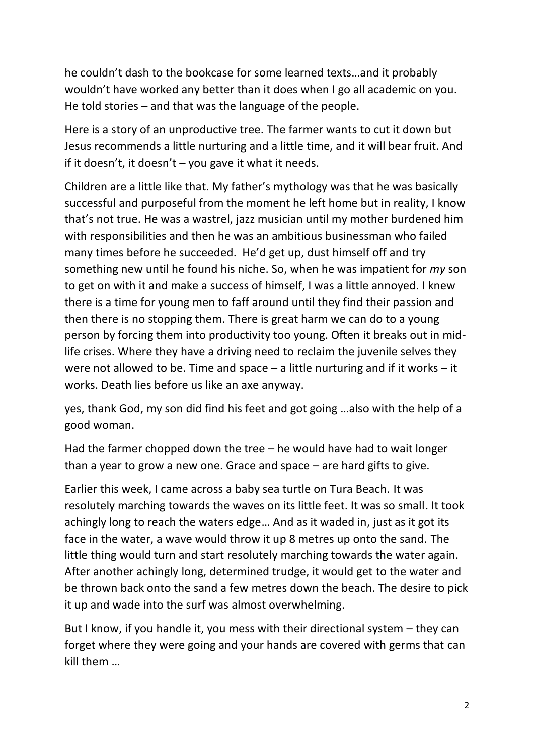he couldn't dash to the bookcase for some learned texts…and it probably wouldn't have worked any better than it does when I go all academic on you. He told stories – and that was the language of the people.

Here is a story of an unproductive tree. The farmer wants to cut it down but Jesus recommends a little nurturing and a little time, and it will bear fruit. And if it doesn't, it doesn't – you gave it what it needs.

Children are a little like that. My father's mythology was that he was basically successful and purposeful from the moment he left home but in reality, I know that's not true. He was a wastrel, jazz musician until my mother burdened him with responsibilities and then he was an ambitious businessman who failed many times before he succeeded. He'd get up, dust himself off and try something new until he found his niche. So, when he was impatient for *my* son to get on with it and make a success of himself, I was a little annoyed. I knew there is a time for young men to faff around until they find their passion and then there is no stopping them. There is great harm we can do to a young person by forcing them into productivity too young. Often it breaks out in midlife crises. Where they have a driving need to reclaim the juvenile selves they were not allowed to be. Time and space – a little nurturing and if it works – it works. Death lies before us like an axe anyway.

yes, thank God, my son did find his feet and got going …also with the help of a good woman.

Had the farmer chopped down the tree – he would have had to wait longer than a year to grow a new one. Grace and space – are hard gifts to give.

Earlier this week, I came across a baby sea turtle on Tura Beach. It was resolutely marching towards the waves on its little feet. It was so small. It took achingly long to reach the waters edge… And as it waded in, just as it got its face in the water, a wave would throw it up 8 metres up onto the sand. The little thing would turn and start resolutely marching towards the water again. After another achingly long, determined trudge, it would get to the water and be thrown back onto the sand a few metres down the beach. The desire to pick it up and wade into the surf was almost overwhelming.

But I know, if you handle it, you mess with their directional system – they can forget where they were going and your hands are covered with germs that can kill them …